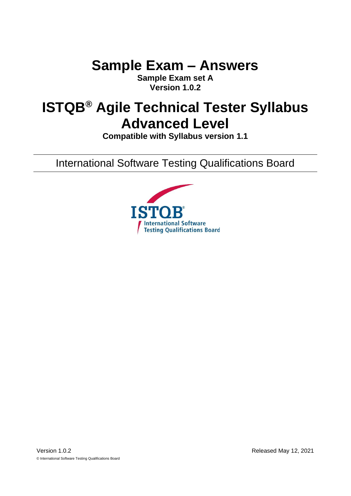**Sample Exam – Answers**

**Sample Exam set A Version 1.0.2**

# **ISTQB® Agile Technical Tester Syllabus Advanced Level**

**Compatible with Syllabus version 1.1**

International Software Testing Qualifications Board

<span id="page-0-1"></span><span id="page-0-0"></span>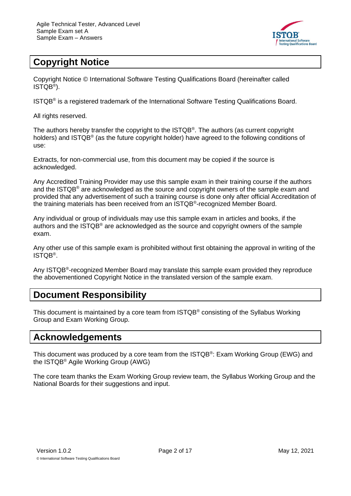

## <span id="page-1-0"></span>**Copyright Notice**

Copyright Notice © International Software Testing Qualifications Board (hereinafter called ISTQB® ).

ISTQB® is a registered trademark of the International Software Testing Qualifications Board.

All rights reserved.

The authors hereby transfer the copyright to the ISTQB® . The authors (as current copyright holders) and ISTQB® (as the future copyright holder) have agreed to the following conditions of use:

Extracts, for non-commercial use, from this document may be copied if the source is acknowledged.

Any Accredited Training Provider may use this sample exam in their training course if the authors and the ISTQB® are acknowledged as the source and copyright owners of the sample exam and provided that any advertisement of such a training course is done only after official Accreditation of the training materials has been received from an ISTQB®-recognized Member Board.

Any individual or group of individuals may use this sample exam in articles and books, if the authors and the ISTQB® are acknowledged as the source and copyright owners of the sample exam.

Any other use of this sample exam is prohibited without first obtaining the approval in writing of the ISTQB® .

Any ISTQB<sup>®</sup>-recognized Member Board may translate this sample exam provided they reproduce the abovementioned Copyright Notice in the translated version of the sample exam.

## <span id="page-1-1"></span>**Document Responsibility**

This document is maintained by a core team from ISTQB® consisting of the Syllabus Working Group and Exam Working Group.

### <span id="page-1-2"></span>**Acknowledgements**

This document was produced by a core team from the ISTQB®: Exam Working Group (EWG) and the ISTQB® Agile Working Group (AWG)

The core team thanks the Exam Working Group review team, the Syllabus Working Group and the National Boards for their suggestions and input.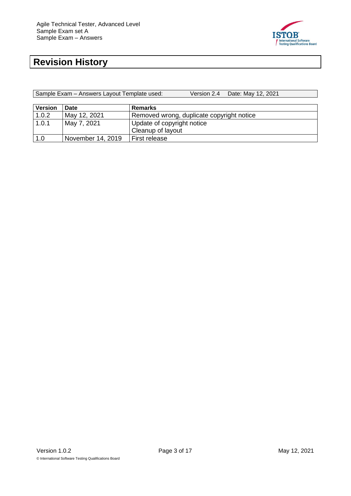

# <span id="page-2-0"></span>**Revision History**

| Sample Exam - Answers Layout Template used: | Version 2.4 Date: May 12, 2021 |
|---------------------------------------------|--------------------------------|
|                                             |                                |

| <b>Version</b> | Date              | <b>Remarks</b>                            |
|----------------|-------------------|-------------------------------------------|
| 1.0.2          | May 12, 2021      | Removed wrong, duplicate copyright notice |
| 1.0.1          | May 7, 2021       | Update of copyright notice                |
|                |                   | Cleanup of layout                         |
| 1.0            | November 14, 2019 | First release                             |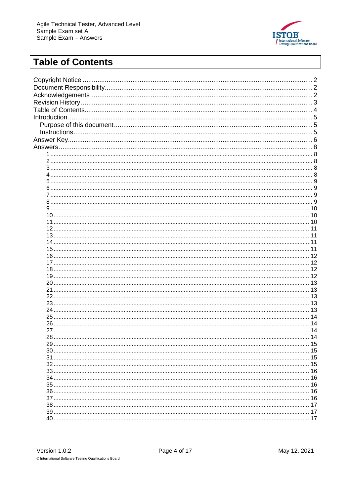

## <span id="page-3-0"></span>**Table of Contents**

| Introduction. |    |
|---------------|----|
|               |    |
|               |    |
|               |    |
|               |    |
|               |    |
|               |    |
|               |    |
|               |    |
|               |    |
|               |    |
|               |    |
|               |    |
|               |    |
|               |    |
| 11            |    |
|               |    |
|               |    |
|               |    |
|               | 11 |
|               |    |
|               | 12 |
|               | 12 |
|               |    |
|               |    |
| 21            |    |
|               |    |
|               |    |
|               |    |
|               |    |
|               |    |
|               |    |
|               | 14 |
| 28            | 14 |
|               |    |
|               |    |
|               |    |
|               |    |
|               |    |
|               |    |
|               |    |
|               |    |
|               |    |
|               |    |
|               |    |
|               |    |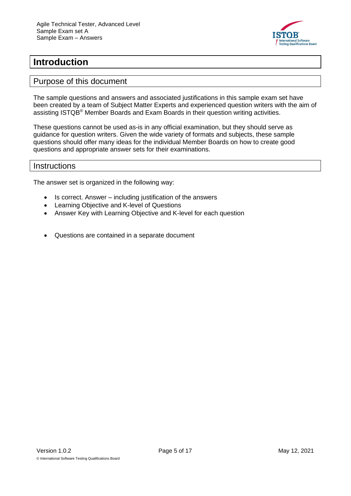

#### <span id="page-4-0"></span>**Introduction**

#### <span id="page-4-1"></span>Purpose of this document

The sample questions and answers and associated justifications in this sample exam set have been created by a team of Subject Matter Experts and experienced question writers with the aim of assisting ISTQB® Member Boards and Exam Boards in their question writing activities.

These questions cannot be used as-is in any official examination, but they should serve as guidance for question writers. Given the wide variety of formats and subjects, these sample questions should offer many ideas for the individual Member Boards on how to create good questions and appropriate answer sets for their examinations.

#### <span id="page-4-2"></span>**Instructions**

The answer set is organized in the following way:

- Is correct. Answer including justification of the answers
- Learning Objective and K-level of Questions
- Answer Key with Learning Objective and K-level for each question
- Questions are contained in a separate document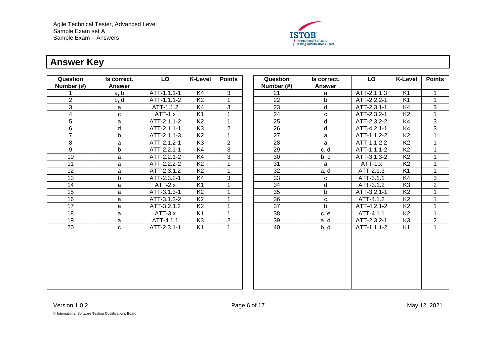

## **Answer Key**

<span id="page-5-0"></span>

| Question       | Is correct.   | LO          | <b>K-Level</b> | <b>Points</b>  | Question        | Is correct.   | LO          | <b>K-Level</b> | <b>Points</b>  |
|----------------|---------------|-------------|----------------|----------------|-----------------|---------------|-------------|----------------|----------------|
| Number (#)     | <b>Answer</b> |             |                |                | Number (#)      | <b>Answer</b> |             |                |                |
|                | a, b          | ATT-1.1.1-1 | K4             | 3              | 21              | a             | ATT-2.1.1.3 | K <sub>1</sub> | 1              |
| $\overline{2}$ | b, d          | ATT-1.1.1-2 | K <sub>2</sub> | $\mathbf 1$    | 22              | b             | ATT-2.2.2-1 | K1             | 1              |
| 3              | a             | ATT-1.1.2   | K4             | 3              | 23              | d             | ATT-2.3.1-1 | K4             | 3              |
| 4              | C             | $ATT-1.x$   | K1             | $\mathbf 1$    | 24              | C             | ATT-2.3.2-1 | K <sub>2</sub> |                |
| 5              | a             | ATT-2.1.1-2 | K <sub>2</sub> | $\mathbf 1$    | 25              | d             | ATT-2.3.2-2 | K4             | 3              |
| 6              | d             | ATT-2.1.1-1 | K <sub>3</sub> | $\overline{2}$ | 26              | d             | ATT-4.2.1-1 | K4             | $\overline{3}$ |
| $\overline{7}$ | b             | ATT-2.1.1-3 | K <sub>2</sub> | 1              | 27              | a             | ATT-1.1.2-2 | K <sub>2</sub> |                |
| 8              | a             | ATT-2.1.2-1 | K <sub>3</sub> | $\overline{2}$ | 28              | a             | ATT-1.1.2.2 | K <sub>2</sub> |                |
| 9              | b             | ATT-2.2.1-1 | K4             | 3              | 29              | c, d          | ATT-1.1.1-2 | K <sub>2</sub> |                |
| 10             | a             | ATT-2.2.1-2 | K4             | 3              | 30              | b, c          | ATT-3.1.3-2 | K <sub>2</sub> |                |
| 11             | a             | ATT-2.2.2-2 | K <sub>2</sub> | 1              | 31              | a             | $ATT-1.x$   | K <sub>2</sub> |                |
| 12             | a             | ATT-2.3.1.2 | K <sub>2</sub> |                | 32              | a, d          | ATT-2.1.3   | K <sub>1</sub> |                |
| 13             | b             | ATT-2.3.2-1 | K <sub>4</sub> | 3              | 33              | C             | ATT-3.1.1   | K4             | 3              |
| 14             | a             | $ATT-2.x$   | K <sub>1</sub> | 1              | 34              | d             | ATT-3.1.2   | K <sub>3</sub> | $\overline{2}$ |
| 15             | a             | ATT-3.1.3-1 | K <sub>2</sub> | 1              | 35              | b             | ATT-3.2.1-1 | K <sub>2</sub> | 1              |
| 16             | a             | ATT-3.1.3-2 | K <sub>2</sub> |                | $\overline{36}$ | $\mathbf C$   | ATT-4.1.2   | K <sub>2</sub> |                |
| 17             | a             | ATT-3.2.1.2 | K <sub>2</sub> | 1              | 37              | $\mathsf{b}$  | ATT-4.2.1-2 | K <sub>2</sub> |                |
| 18             | a             | $ATT-3.x$   | K <sub>1</sub> | 1              | 38              | c, e          | ATT-4.1.1   | K <sub>2</sub> |                |
| 19             | a             | ATT-4.1.1   | K <sub>3</sub> | $\overline{c}$ | 39              | a, d          | ATT-2.3.2-1 | K <sub>3</sub> | $\overline{2}$ |
| 20             | $\mathbf{C}$  | ATT-2.3.1-1 | K <sub>1</sub> | $\mathbf 1$    | 40              | b, d          | ATT-1.1.1-2 | K <sub>1</sub> | 1              |
|                |               |             |                |                |                 |               |             |                |                |
|                |               |             |                |                |                 |               |             |                |                |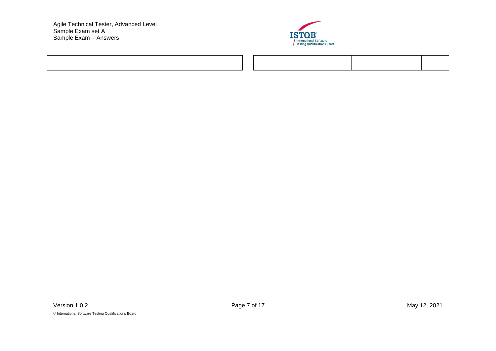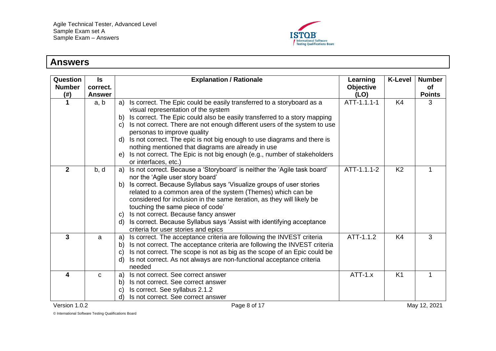

#### **Answers**

| Question<br><b>Number</b><br>(#) | $\mathsf{ls}$<br>correct.<br><b>Answer</b> | <b>Explanation / Rationale</b>                                                                                                                                                                                                                                                                                                                                                                                                                                                                                                                                          | Learning<br><b>Objective</b><br>(LO) | <b>K-Level</b> | <b>Number</b><br>оf<br><b>Points</b> |
|----------------------------------|--------------------------------------------|-------------------------------------------------------------------------------------------------------------------------------------------------------------------------------------------------------------------------------------------------------------------------------------------------------------------------------------------------------------------------------------------------------------------------------------------------------------------------------------------------------------------------------------------------------------------------|--------------------------------------|----------------|--------------------------------------|
|                                  | a, b                                       | Is correct. The Epic could be easily transferred to a storyboard as a<br>a)<br>visual representation of the system<br>Is correct. The Epic could also be easily transferred to a story mapping<br>b)<br>Is not correct. There are not enough different users of the system to use<br>C)<br>personas to improve quality<br>Is not correct. The epic is not big enough to use diagrams and there is<br>d)<br>nothing mentioned that diagrams are already in use<br>Is not correct. The Epic is not big enough (e.g., number of stakeholders<br>e)<br>or interfaces, etc.) | ATT-1.1.1-1                          | K <sub>4</sub> | 3                                    |
| $\overline{2}$                   | b, d                                       | Is not correct. Because a 'Storyboard' is neither the 'Agile task board'<br>a)<br>nor the 'Agile user story board'<br>Is correct. Because Syllabus says 'Visualize groups of user stories<br>b)<br>related to a common area of the system (Themes) which can be<br>considered for inclusion in the same iteration, as they will likely be<br>touching the same piece of code'<br>Is not correct. Because fancy answer<br>C)<br>Is correct. Because Syllabus says 'Assist with identifying acceptance<br>d)<br>criteria for user stories and epics                       | ATT-1.1.1-2                          | K <sub>2</sub> | 1                                    |
| 3                                | a                                          | Is correct. The acceptance criteria are following the INVEST criteria<br>a)<br>Is not correct. The acceptance criteria are following the INVEST criteria<br>$\mathsf{b}$<br>Is not correct. The scope is not as big as the scope of an Epic could be<br>$\mathbf{C}$<br>Is not correct. As not always are non-functional acceptance criteria<br>d)<br>needed                                                                                                                                                                                                            | ATT-1.1.2                            | K <sub>4</sub> | 3                                    |
| 4                                | $\mathbf C$                                | Is not correct. See correct answer<br>a)<br>Is not correct. See correct answer<br>$\mathsf{b}$<br>Is correct. See syllabus 2.1.2<br>$\mathbf{C}$<br>Is not correct. See correct answer<br>ď                                                                                                                                                                                                                                                                                                                                                                             | $ATT-1.x$                            | K <sub>1</sub> | 1                                    |
| Version 1.0.2                    |                                            | Page 8 of 17                                                                                                                                                                                                                                                                                                                                                                                                                                                                                                                                                            |                                      |                | May 12, 2021                         |

<span id="page-7-4"></span><span id="page-7-3"></span><span id="page-7-2"></span><span id="page-7-1"></span><span id="page-7-0"></span>© International Software Testing Qualifications Board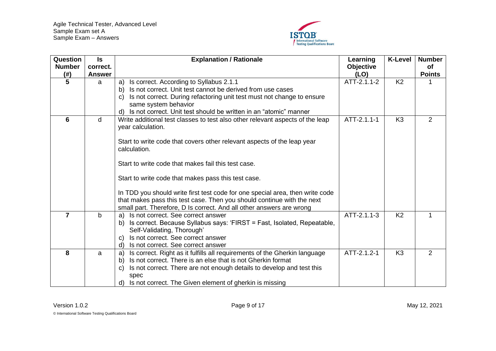

<span id="page-8-3"></span><span id="page-8-2"></span><span id="page-8-1"></span><span id="page-8-0"></span>

| Question<br><b>Number</b><br>$($ # $)$ | <b>Is</b><br>correct.<br><b>Answer</b> | <b>Explanation / Rationale</b>                                                                                                                                                                                                                                                                                                                                                                                                                                                                                                                 | Learning<br><b>Objective</b><br>(LO) | <b>K-Level</b> | <b>Number</b><br><b>of</b><br><b>Points</b> |
|----------------------------------------|----------------------------------------|------------------------------------------------------------------------------------------------------------------------------------------------------------------------------------------------------------------------------------------------------------------------------------------------------------------------------------------------------------------------------------------------------------------------------------------------------------------------------------------------------------------------------------------------|--------------------------------------|----------------|---------------------------------------------|
| 5                                      | a                                      | Is correct. According to Syllabus 2.1.1<br>a)<br>Is not correct. Unit test cannot be derived from use cases<br>b)<br>Is not correct. During refactoring unit test must not change to ensure<br>C)<br>same system behavior<br>Is not correct. Unit test should be written in an "atomic" manner<br>d)                                                                                                                                                                                                                                           | ATT-2.1.1-2                          | K <sub>2</sub> |                                             |
| 6                                      | d                                      | Write additional test classes to test also other relevant aspects of the leap<br>year calculation.<br>Start to write code that covers other relevant aspects of the leap year<br>calculation.<br>Start to write code that makes fail this test case.<br>Start to write code that makes pass this test case.<br>In TDD you should write first test code for one special area, then write code<br>that makes pass this test case. Then you should continue with the next<br>small part. Therefore, D Is correct. And all other answers are wrong | ATT-2.1.1-1                          | K <sub>3</sub> | 2                                           |
| $\overline{\mathbf{z}}$                | $\mathsf{b}$                           | Is not correct. See correct answer<br>a)<br>Is correct. Because Syllabus says: 'FIRST = Fast, Isolated, Repeatable,<br>b)<br>Self-Validating, Thorough'<br>Is not correct. See correct answer<br>C)<br>Is not correct. See correct answer<br>d)                                                                                                                                                                                                                                                                                                | ATT-2.1.1-3                          | K <sub>2</sub> |                                             |
| 8                                      | a                                      | Is correct. Right as it fulfills all requirements of the Gherkin language<br>a)<br>Is not correct. There is an else that is not Gherkin format<br>b)<br>Is not correct. There are not enough details to develop and test this<br>$\mathbf{C}$<br>spec<br>Is not correct. The Given element of gherkin is missing<br>d)                                                                                                                                                                                                                         | ATT-2.1.2-1                          | K <sub>3</sub> | 2                                           |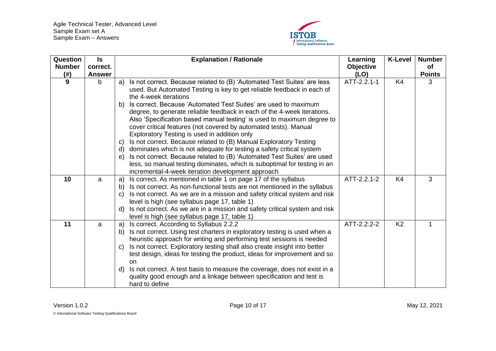

<span id="page-9-2"></span><span id="page-9-1"></span><span id="page-9-0"></span>

| Question<br><b>Number</b><br>(# ) | $\sf ls$<br>correct.<br><b>Answer</b> | <b>Explanation / Rationale</b>                                                                                                                              | Learning<br><b>Objective</b><br>(LO) | <b>K-Level</b> | <b>Number</b><br><b>of</b><br><b>Points</b> |
|-----------------------------------|---------------------------------------|-------------------------------------------------------------------------------------------------------------------------------------------------------------|--------------------------------------|----------------|---------------------------------------------|
| 9                                 | $\mathbf b$                           | Is not correct. Because related to (B) 'Automated Test Suites' are less<br>a)                                                                               | ATT-2.2.1-1                          | K4             | 3                                           |
|                                   |                                       | used. But Automated Testing is key to get reliable feedback in each of                                                                                      |                                      |                |                                             |
|                                   |                                       | the 4-week iterations                                                                                                                                       |                                      |                |                                             |
|                                   |                                       | Is correct. Because 'Automated Test Suites' are used to maximum<br>b)                                                                                       |                                      |                |                                             |
|                                   |                                       | degree, to generate reliable feedback in each of the 4-week iterations.                                                                                     |                                      |                |                                             |
|                                   |                                       | Also 'Specification based manual testing' is used to maximum degree to                                                                                      |                                      |                |                                             |
|                                   |                                       | cover critical features (not covered by automated tests). Manual                                                                                            |                                      |                |                                             |
|                                   |                                       | Exploratory Testing is used in addition only                                                                                                                |                                      |                |                                             |
|                                   |                                       | Is not correct. Because related to (B) Manual Exploratory Testing<br>C)                                                                                     |                                      |                |                                             |
|                                   |                                       | dominates which is not adequate for testing a safety critical system<br>d)<br>Is not correct. Because related to (B) 'Automated Test Suites' are used<br>e) |                                      |                |                                             |
|                                   |                                       | less, so manual testing dominates, which is suboptimal for testing in an                                                                                    |                                      |                |                                             |
|                                   |                                       | incremental-4-week iteration development approach                                                                                                           |                                      |                |                                             |
| 10                                | a                                     | Is correct. As mentioned in table 1 on page 17 of the syllabus<br>a)                                                                                        | ATT-2.2.1-2                          | K <sub>4</sub> | 3                                           |
|                                   |                                       | Is not correct. As non-functional tests are not mentioned in the syllabus<br>b)                                                                             |                                      |                |                                             |
|                                   |                                       | Is not correct. As we are in a mission and safety critical system and risk<br>C)                                                                            |                                      |                |                                             |
|                                   |                                       | level is high (see syllabus page 17, table 1)                                                                                                               |                                      |                |                                             |
|                                   |                                       | d) Is not correct. As we are in a mission and safety critical system and risk                                                                               |                                      |                |                                             |
|                                   |                                       | level is high (see syllabus page 17, table 1)                                                                                                               |                                      |                |                                             |
| 11                                | a                                     | Is correct. According to Syllabus 2.2.2<br>a)                                                                                                               | ATT-2.2.2-2                          | K <sub>2</sub> |                                             |
|                                   |                                       | Is not correct. Using test charters in exploratory testing is used when a<br>b)<br>heuristic approach for writing and performing test sessions is needed    |                                      |                |                                             |
|                                   |                                       | Is not correct. Exploratory testing shall also create insight into better<br>C)                                                                             |                                      |                |                                             |
|                                   |                                       | test design, ideas for testing the product, ideas for improvement and so                                                                                    |                                      |                |                                             |
|                                   |                                       | on                                                                                                                                                          |                                      |                |                                             |
|                                   |                                       | Is not correct. A test basis to measure the coverage, does not exist in a<br>d)                                                                             |                                      |                |                                             |
|                                   |                                       | quality good enough and a linkage between specification and test is                                                                                         |                                      |                |                                             |
|                                   |                                       | hard to define                                                                                                                                              |                                      |                |                                             |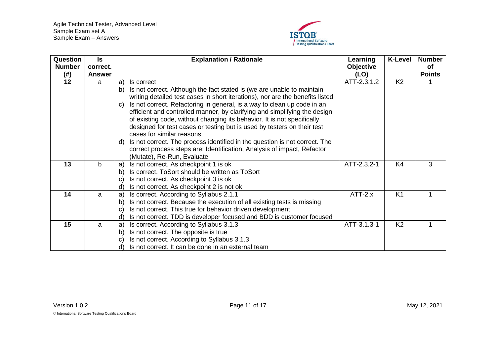

<span id="page-10-3"></span><span id="page-10-2"></span><span id="page-10-1"></span><span id="page-10-0"></span>

| Question      | ls.           | <b>Explanation / Rationale</b>                                                   | Learning         | <b>K-Level</b> | <b>Number</b> |
|---------------|---------------|----------------------------------------------------------------------------------|------------------|----------------|---------------|
| <b>Number</b> | correct.      |                                                                                  | <b>Objective</b> |                | of            |
| (# )          | <b>Answer</b> |                                                                                  | (LO)             |                | <b>Points</b> |
| 12            | a             | a)<br>Is correct                                                                 | ATT-2.3.1.2      | K <sub>2</sub> |               |
|               |               | Is not correct. Although the fact stated is (we are unable to maintain<br>b)     |                  |                |               |
|               |               | writing detailed test cases in short iterations), nor are the benefits listed    |                  |                |               |
|               |               | Is not correct. Refactoring in general, is a way to clean up code in an<br>C)    |                  |                |               |
|               |               | efficient and controlled manner, by clarifying and simplifying the design        |                  |                |               |
|               |               | of existing code, without changing its behavior. It is not specifically          |                  |                |               |
|               |               | designed for test cases or testing but is used by testers on their test          |                  |                |               |
|               |               | cases for similar reasons                                                        |                  |                |               |
|               |               | Is not correct. The process identified in the question is not correct. The<br>d) |                  |                |               |
|               |               | correct process steps are: Identification, Analysis of impact, Refactor          |                  |                |               |
|               |               | (Mutate), Re-Run, Evaluate                                                       |                  |                |               |
| 13            | b             | Is not correct. As checkpoint 1 is ok<br>a)                                      | ATT-2.3.2-1      | K4             | 3             |
|               |               | Is correct. ToSort should be written as ToSort<br>b                              |                  |                |               |
|               |               | Is not correct. As checkpoint 3 is ok<br>$\mathbf{C}$                            |                  |                |               |
|               |               | Is not correct. As checkpoint 2 is not ok<br>ď                                   |                  |                |               |
| 14            | a             | Is correct. According to Syllabus 2.1.1<br>a)                                    | $ATT-2.x$        | K <sub>1</sub> |               |
|               |               | Is not correct. Because the execution of all existing tests is missing<br>b)     |                  |                |               |
|               |               | Is not correct. This true for behavior driven development<br>$\mathbf{C}$        |                  |                |               |
|               |               | Is not correct. TDD is developer focused and BDD is customer focused<br>ď        |                  |                |               |
| 15            | a             | Is correct. According to Syllabus 3.1.3<br>a)                                    | ATT-3.1.3-1      | K <sub>2</sub> |               |
|               |               | Is not correct. The opposite is true<br>b)                                       |                  |                |               |
|               |               | Is not correct. According to Syllabus 3.1.3<br>$\mathbf{C}$                      |                  |                |               |
|               |               | Is not correct. It can be done in an external team<br>ď                          |                  |                |               |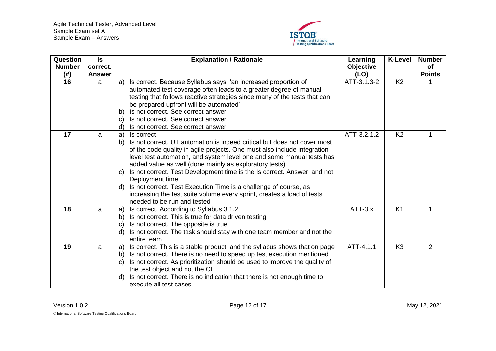

<span id="page-11-3"></span><span id="page-11-2"></span><span id="page-11-1"></span><span id="page-11-0"></span>

| Question<br><b>Number</b><br>(#) | <b>Is</b><br>correct.<br><b>Answer</b> | <b>Explanation / Rationale</b>                                                                                                                                                                                                                                                                                                                                                                                                                                                                                                                                                                                                                                 | Learning<br><b>Objective</b><br>(LO) | <b>K-Level</b> | <b>Number</b><br>of<br><b>Points</b> |
|----------------------------------|----------------------------------------|----------------------------------------------------------------------------------------------------------------------------------------------------------------------------------------------------------------------------------------------------------------------------------------------------------------------------------------------------------------------------------------------------------------------------------------------------------------------------------------------------------------------------------------------------------------------------------------------------------------------------------------------------------------|--------------------------------------|----------------|--------------------------------------|
| 16                               | a                                      | Is correct. Because Syllabus says: 'an increased proportion of<br>a)<br>automated test coverage often leads to a greater degree of manual<br>testing that follows reactive strategies since many of the tests that can<br>be prepared upfront will be automated'<br>Is not correct. See correct answer<br>b)<br>Is not correct. See correct answer<br>$\mathbf{C}$                                                                                                                                                                                                                                                                                             | ATT-3.1.3-2                          | K <sub>2</sub> |                                      |
| 17                               | a                                      | Is not correct. See correct answer<br>ď<br>Is correct<br>a)<br>Is not correct. UT automation is indeed critical but does not cover most<br>b)<br>of the code quality in agile projects. One must also include integration<br>level test automation, and system level one and some manual tests has<br>added value as well (done mainly as exploratory tests)<br>Is not correct. Test Development time is the Is correct. Answer, and not<br>$\mathsf{C}$<br>Deployment time<br>Is not correct. Test Execution Time is a challenge of course, as<br>d)<br>increasing the test suite volume every sprint, creates a load of tests<br>needed to be run and tested | ATT-3.2.1.2                          | K <sub>2</sub> | 1                                    |
| 18                               | a                                      | Is correct. According to Syllabus 3.1.2<br>a)<br>Is not correct. This is true for data driven testing<br>$\mathsf{b}$<br>Is not correct. The opposite is true<br>$\mathbf{C}$<br>Is not correct. The task should stay with one team member and not the<br>d)<br>entire team                                                                                                                                                                                                                                                                                                                                                                                    | $ATT-3.x$                            | K <sub>1</sub> | 1                                    |
| 19                               | a                                      | Is correct. This is a stable product, and the syllabus shows that on page<br>a)<br>Is not correct. There is no need to speed up test execution mentioned<br>$\mathsf{b}$<br>Is not correct. As prioritization should be used to improve the quality of<br>C)<br>the test object and not the CI<br>Is not correct. There is no indication that there is not enough time to<br>d)<br>execute all test cases                                                                                                                                                                                                                                                      | ATT-4.1.1                            | K <sub>3</sub> | $\overline{2}$                       |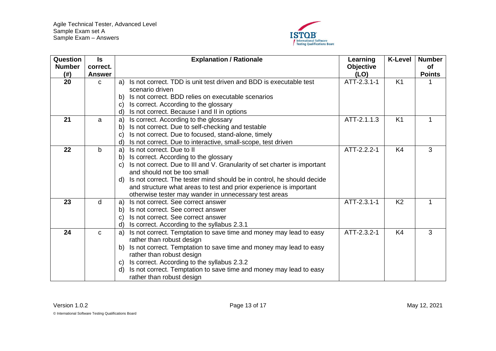

<span id="page-12-4"></span><span id="page-12-3"></span><span id="page-12-2"></span><span id="page-12-1"></span><span id="page-12-0"></span>

| <b>Question</b><br><b>Number</b> | $\sf ls$<br>correct. | <b>Explanation / Rationale</b>                                                  | Learning<br><b>Objective</b> | <b>K-Level</b> | <b>Number</b><br>of |
|----------------------------------|----------------------|---------------------------------------------------------------------------------|------------------------------|----------------|---------------------|
| (# )                             | <b>Answer</b>        |                                                                                 | (LO)                         |                | <b>Points</b>       |
| 20                               | C                    | Is not correct. TDD is unit test driven and BDD is executable test<br>a)        | ATT-2.3.1-1                  | K <sub>1</sub> |                     |
|                                  |                      | scenario driven                                                                 |                              |                |                     |
|                                  |                      | Is not correct. BDD relies on executable scenarios<br>b)                        |                              |                |                     |
|                                  |                      | Is correct. According to the glossary<br>C)                                     |                              |                |                     |
|                                  |                      | Is not correct. Because I and II in options<br>d                                |                              |                |                     |
| 21                               | a                    | Is correct. According to the glossary<br>a)                                     | ATT-2.1.1.3                  | K <sub>1</sub> |                     |
|                                  |                      | Is not correct. Due to self-checking and testable<br>b)                         |                              |                |                     |
|                                  |                      | Is not correct. Due to focused, stand-alone, timely<br>$\mathbf{C}$             |                              |                |                     |
|                                  |                      | Is not correct. Due to interactive, small-scope, test driven<br>ď               |                              |                |                     |
| 22                               | $\mathsf{b}$         | Is not correct. Due to II<br>a)                                                 | ATT-2.2.2-1                  | K <sub>4</sub> | 3                   |
|                                  |                      | Is correct. According to the glossary<br>b)                                     |                              |                |                     |
|                                  |                      | Is not correct. Due to III and V. Granularity of set charter is important<br>C) |                              |                |                     |
|                                  |                      | and should not be too small                                                     |                              |                |                     |
|                                  |                      | Is not correct. The tester mind should be in control, he should decide<br>d)    |                              |                |                     |
|                                  |                      | and structure what areas to test and prior experience is important              |                              |                |                     |
|                                  |                      | otherwise tester may wander in unnecessary test areas                           |                              |                |                     |
| 23                               | d                    | Is not correct. See correct answer<br>a)                                        | ATT-2.3.1-1                  | K <sub>2</sub> | 1                   |
|                                  |                      | Is not correct. See correct answer<br>b)                                        |                              |                |                     |
|                                  |                      | Is not correct. See correct answer<br>$\mathbf{C}$                              |                              |                |                     |
|                                  |                      | Is correct. According to the syllabus 2.3.1<br>d)                               |                              |                |                     |
| 24                               | C                    | Is not correct. Temptation to save time and money may lead to easy<br>a)        | ATT-2.3.2-1                  | K4             | 3                   |
|                                  |                      | rather than robust design                                                       |                              |                |                     |
|                                  |                      | b) Is not correct. Temptation to save time and money may lead to easy           |                              |                |                     |
|                                  |                      | rather than robust design                                                       |                              |                |                     |
|                                  |                      | Is correct. According to the syllabus 2.3.2<br>C)                               |                              |                |                     |
|                                  |                      | Is not correct. Temptation to save time and money may lead to easy<br>d)        |                              |                |                     |
|                                  |                      | rather than robust design                                                       |                              |                |                     |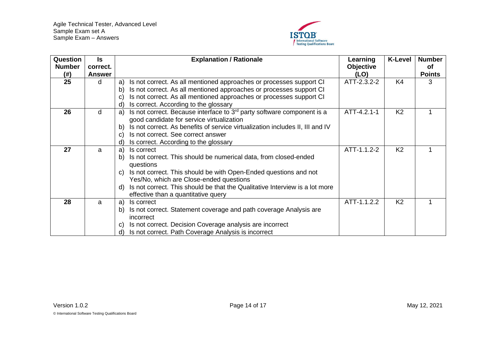

<span id="page-13-3"></span><span id="page-13-2"></span><span id="page-13-1"></span><span id="page-13-0"></span>

| <b>Question</b> | Is            | <b>Explanation / Rationale</b>                                                      | Learning         | <b>K-Level</b> | <b>Number</b> |
|-----------------|---------------|-------------------------------------------------------------------------------------|------------------|----------------|---------------|
| <b>Number</b>   | correct.      |                                                                                     | <b>Objective</b> |                | οf            |
| (# )            | <b>Answer</b> |                                                                                     | (LO)             |                | <b>Points</b> |
| 25              | d             | Is not correct. As all mentioned approaches or processes support CI<br>a)           | ATT-2.3.2-2      | K4             | 3             |
|                 |               | Is not correct. As all mentioned approaches or processes support CI<br>$\mathsf{b}$ |                  |                |               |
|                 |               | Is not correct. As all mentioned approaches or processes support CI<br>$\mathbf{C}$ |                  |                |               |
|                 |               | Is correct. According to the glossary<br>d)                                         |                  |                |               |
| 26              | d             | Is not correct. Because interface to $3rd$ party software component is a<br>a)      | ATT-4.2.1-1      | K <sub>2</sub> |               |
|                 |               | good candidate for service virtualization                                           |                  |                |               |
|                 |               | Is not correct. As benefits of service virtualization includes II, III and IV<br>b) |                  |                |               |
|                 |               | Is not correct. See correct answer<br>C)                                            |                  |                |               |
|                 |               | Is correct. According to the glossary<br>d)                                         |                  |                |               |
| 27              | a             | Is correct<br>a)                                                                    | ATT-1.1.2-2      | K <sub>2</sub> |               |
|                 |               | Is not correct. This should be numerical data, from closed-ended<br>b)              |                  |                |               |
|                 |               | questions                                                                           |                  |                |               |
|                 |               | Is not correct. This should be with Open-Ended questions and not<br>C)              |                  |                |               |
|                 |               | Yes/No, which are Close-ended questions                                             |                  |                |               |
|                 |               | Is not correct. This should be that the Qualitative Interview is a lot more<br>d)   |                  |                |               |
|                 |               | effective than a quantitative query                                                 |                  |                |               |
| 28              | a             | Is correct<br>a)                                                                    | ATT-1.1.2.2      | K <sub>2</sub> |               |
|                 |               | Is not correct. Statement coverage and path coverage Analysis are<br>b)             |                  |                |               |
|                 |               | incorrect                                                                           |                  |                |               |
|                 |               | Is not correct. Decision Coverage analysis are incorrect<br>C)                      |                  |                |               |
|                 |               | Is not correct. Path Coverage Analysis is incorrect<br>d)                           |                  |                |               |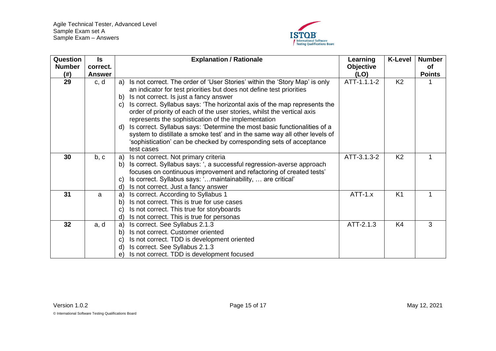

<span id="page-14-3"></span><span id="page-14-2"></span><span id="page-14-1"></span><span id="page-14-0"></span>

| Question      | <b>Is</b>     | <b>Explanation / Rationale</b>                                                   | Learning         | <b>K-Level</b> | <b>Number</b> |
|---------------|---------------|----------------------------------------------------------------------------------|------------------|----------------|---------------|
| <b>Number</b> | correct.      |                                                                                  | <b>Objective</b> |                | <b>of</b>     |
| (#)           | <b>Answer</b> |                                                                                  | (LO)             |                | <b>Points</b> |
| 29            | c, d          | Is not correct. The order of 'User Stories' within the 'Story Map' is only<br>a) | ATT-1.1.1-2      | K <sub>2</sub> |               |
|               |               | an indicator for test priorities but does not define test priorities             |                  |                |               |
|               |               | Is not correct. Is just a fancy answer<br>b)                                     |                  |                |               |
|               |               | Is correct. Syllabus says: 'The horizontal axis of the map represents the<br>C)  |                  |                |               |
|               |               | order of priority of each of the user stories, whilst the vertical axis          |                  |                |               |
|               |               | represents the sophistication of the implementation                              |                  |                |               |
|               |               | Is correct. Syllabus says: 'Determine the most basic functionalities of a<br>d)  |                  |                |               |
|               |               | system to distillate a smoke test' and in the same way all other levels of       |                  |                |               |
|               |               | 'sophistication' can be checked by corresponding sets of acceptance              |                  |                |               |
|               |               | test cases                                                                       |                  |                |               |
| 30            | b, c          | Is not correct. Not primary criteria<br>a)                                       | ATT-3.1.3-2      | K <sub>2</sub> |               |
|               |               | Is correct. Syllabus says: ', a successful regression-averse approach<br>b)      |                  |                |               |
|               |               | focuses on continuous improvement and refactoring of created tests'              |                  |                |               |
|               |               | Is correct. Syllabus says: 'maintainability,  are critical'<br>$\mathbf{C}$      |                  |                |               |
|               |               | Is not correct. Just a fancy answer<br>ď                                         |                  |                |               |
| 31            | a             | Is correct. According to Syllabus 1<br>a)                                        | $ATT-1.x$        | K <sub>1</sub> |               |
|               |               | Is not correct. This is true for use cases<br>b)                                 |                  |                |               |
|               |               | Is not correct. This true for storyboards<br>C)                                  |                  |                |               |
|               |               | Is not correct. This is true for personas<br>d)                                  |                  |                |               |
| 32            | a, d          | Is correct. See Syllabus 2.1.3<br>a)                                             | ATT-2.1.3        | K4             | 3             |
|               |               | Is not correct. Customer oriented<br>b)                                          |                  |                |               |
|               |               | Is not correct. TDD is development oriented<br>$\mathbf{C}$                      |                  |                |               |
|               |               | Is correct. See Syllabus 2.1.3<br>d)                                             |                  |                |               |
|               |               | Is not correct. TDD is development focused<br>e)                                 |                  |                |               |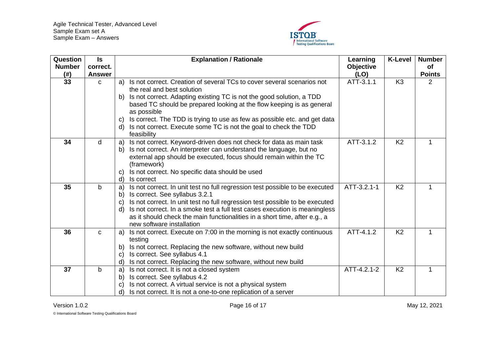

| Question<br><b>Number</b> | <b>Is</b><br>correct. | <b>Explanation / Rationale</b>                                                       | Learning<br><b>Objective</b><br>(LO) | <b>K-Level</b> | <b>Number</b><br><b>of</b><br><b>Points</b> |
|---------------------------|-----------------------|--------------------------------------------------------------------------------------|--------------------------------------|----------------|---------------------------------------------|
| (# )<br>33                | <b>Answer</b>         |                                                                                      | ATT-3.1.1                            | K <sub>3</sub> |                                             |
|                           | $\mathbf{C}$          | Is not correct. Creation of several TCs to cover several scenarios not<br>a)         |                                      |                | 2                                           |
|                           |                       | the real and best solution                                                           |                                      |                |                                             |
|                           |                       | b) Is not correct. Adapting existing TC is not the good solution, a TDD              |                                      |                |                                             |
|                           |                       | based TC should be prepared looking at the flow keeping is as general<br>as possible |                                      |                |                                             |
|                           |                       | Is correct. The TDD is trying to use as few as possible etc. and get data<br>C)      |                                      |                |                                             |
|                           |                       | Is not correct. Execute some TC is not the goal to check the TDD<br>d)               |                                      |                |                                             |
|                           |                       | feasibility                                                                          |                                      |                |                                             |
| 34                        | d                     | Is not correct. Keyword-driven does not check for data as main task<br>a)            | ATT-3.1.2                            | K <sub>2</sub> |                                             |
|                           |                       | Is not correct. An interpreter can understand the language, but no<br>b)             |                                      |                |                                             |
|                           |                       | external app should be executed, focus should remain within the TC                   |                                      |                |                                             |
|                           |                       | (framework)                                                                          |                                      |                |                                             |
|                           |                       | Is not correct. No specific data should be used<br>C)                                |                                      |                |                                             |
|                           |                       | Is correct<br>d)                                                                     |                                      |                |                                             |
| 35                        | $\mathsf{b}$          | Is not correct. In unit test no full regression test possible to be executed<br>a)   | ATT-3.2.1-1                          | K <sub>2</sub> |                                             |
|                           |                       | Is correct. See syllabus 3.2.1<br>b)                                                 |                                      |                |                                             |
|                           |                       | Is not correct. In unit test no full regression test possible to be executed<br>C)   |                                      |                |                                             |
|                           |                       | Is not correct. In a smoke test a full test cases execution is meaningless<br>d)     |                                      |                |                                             |
|                           |                       | as it should check the main functionalities in a short time, after e.g., a           |                                      |                |                                             |
|                           |                       | new software installation                                                            |                                      |                |                                             |
| 36                        | C                     | Is not correct. Execute on 7:00 in the morning is not exactly continuous<br>a)       | ATT-4.1.2                            | K <sub>2</sub> |                                             |
|                           |                       | testing                                                                              |                                      |                |                                             |
|                           |                       | Is not correct. Replacing the new software, without new build<br>b)                  |                                      |                |                                             |
|                           |                       | Is correct. See syllabus 4.1<br>C)                                                   |                                      |                |                                             |
|                           |                       | Is not correct. Replacing the new software, without new build<br>d)                  |                                      |                |                                             |
| 37                        | $\mathbf b$           | Is not correct. It is not a closed system<br>a)                                      | ATT-4.2.1-2                          | K <sub>2</sub> | 1                                           |
|                           |                       | Is correct. See syllabus 4.2<br>b)                                                   |                                      |                |                                             |
|                           |                       | Is not correct. A virtual service is not a physical system<br>C)                     |                                      |                |                                             |
|                           |                       | Is not correct. It is not a one-to-one replication of a server<br>d)                 |                                      |                |                                             |

<span id="page-15-4"></span><span id="page-15-3"></span><span id="page-15-2"></span><span id="page-15-1"></span><span id="page-15-0"></span>© International Software Testing Qualifications Board